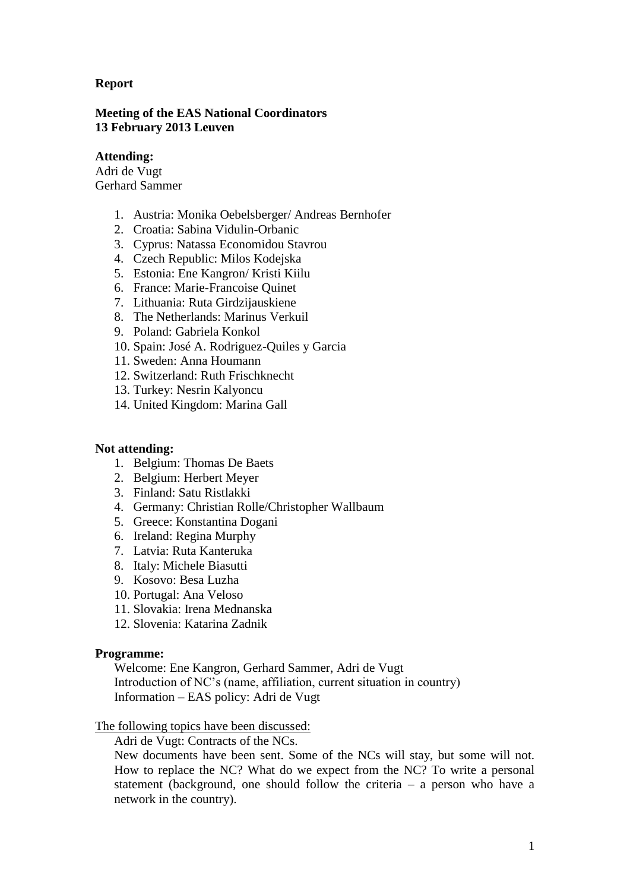# **Report**

## **Meeting of the EAS National Coordinators 13 February 2013 Leuven**

## **Attending:**

Adri de Vugt Gerhard Sammer

- 1. Austria: Monika Oebelsberger/ Andreas Bernhofer
- 2. Croatia: Sabina Vidulin-Orbanic
- 3. Cyprus: Natassa Economidou Stavrou
- 4. Czech Republic: Milos Kodejska
- 5. Estonia: Ene Kangron/ Kristi Kiilu
- 6. France: Marie-Francoise Quinet
- 7. Lithuania: Ruta Girdzijauskiene
- 8. The Netherlands: Marinus Verkuil
- 9. Poland: Gabriela Konkol
- 10. Spain: José A. Rodriguez-Quiles y Garcia
- 11. Sweden: Anna Houmann
- 12. Switzerland: Ruth Frischknecht
- 13. Turkey: Nesrin Kalyoncu
- 14. United Kingdom: Marina Gall

#### **Not attending:**

- 1. Belgium: Thomas De Baets
- 2. Belgium: Herbert Meyer
- 3. Finland: Satu Ristlakki
- 4. Germany: Christian Rolle/Christopher Wallbaum
- 5. Greece: Konstantina Dogani
- 6. Ireland: Regina Murphy
- 7. Latvia: Ruta Kanteruka
- 8. Italy: Michele Biasutti
- 9. Kosovo: Besa Luzha
- 10. Portugal: Ana Veloso
- 11. Slovakia: Irena Mednanska
- 12. Slovenia: Katarina Zadnik

#### **Programme:**

Welcome: Ene Kangron, Gerhard Sammer, Adri de Vugt Introduction of NC's (name, affiliation, current situation in country) Information – EAS policy: Adri de Vugt

## The following topics have been discussed:

Adri de Vugt: Contracts of the NCs.

New documents have been sent. Some of the NCs will stay, but some will not. How to replace the NC? What do we expect from the NC? To write a personal statement (background, one should follow the criteria – a person who have a network in the country).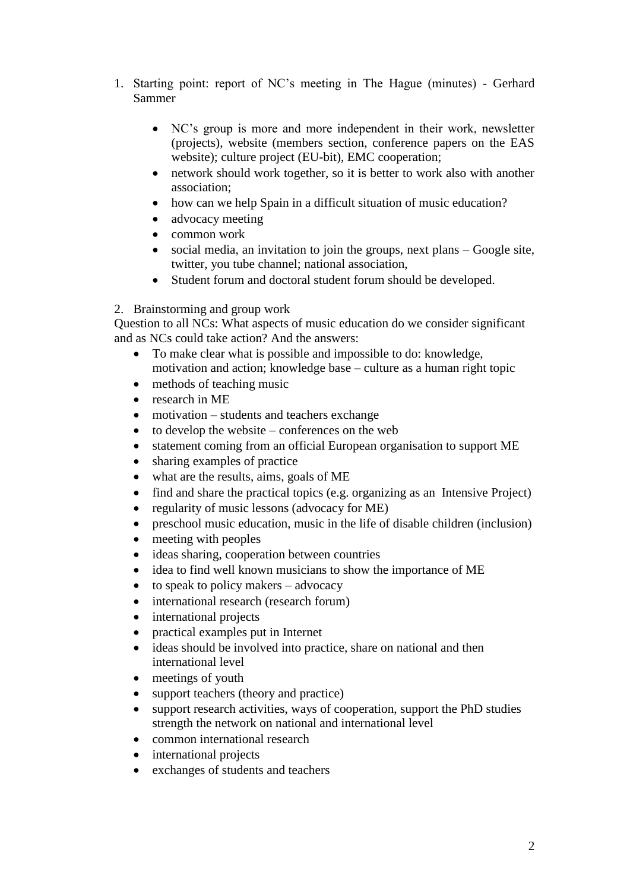- 1. Starting point: report of NC's meeting in The Hague (minutes) Gerhard Sammer
	- NC's group is more and more independent in their work, newsletter (projects), website (members section, conference papers on the EAS website); culture project (EU-bit), EMC cooperation;
	- network should work together, so it is better to work also with another association;
	- how can we help Spain in a difficult situation of music education?
	- advocacy meeting
	- common work
	- social media, an invitation to join the groups, next plans Google site, twitter, you tube channel; national association,
	- Student forum and doctoral student forum should be developed.

# 2. Brainstorming and group work

Question to all NCs: What aspects of music education do we consider significant and as NCs could take action? And the answers:

- To make clear what is possible and impossible to do: knowledge, motivation and action; knowledge base – culture as a human right topic
- methods of teaching music
- research in ME
- motivation students and teachers exchange
- $\bullet$  to develop the website conferences on the web
- statement coming from an official European organisation to support ME
- sharing examples of practice
- what are the results, aims, goals of ME
- find and share the practical topics (e.g. organizing as an Intensive Project)
- regularity of music lessons (advocacy for ME)
- preschool music education, music in the life of disable children (inclusion)
- meeting with peoples
- ideas sharing, cooperation between countries
- idea to find well known musicians to show the importance of ME
- $\bullet$  to speak to policy makers advocacy
- international research (research forum)
- international projects
- practical examples put in Internet
- ideas should be involved into practice, share on national and then international level
- meetings of youth
- support teachers (theory and practice)
- support research activities, ways of cooperation, support the PhD studies strength the network on national and international level
- common international research
- international projects
- exchanges of students and teachers